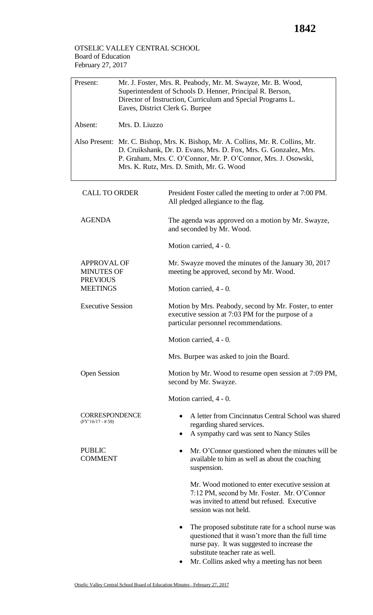## **1842**

## OTSELIC VALLEY CENTRAL SCHOOL Board of Education February 27, 2017

| Present:                                                                      | Mr. J. Foster, Mrs. R. Peabody, Mr. M. Swayze, Mr. B. Wood,<br>Superintendent of Schools D. Henner, Principal R. Berson,<br>Director of Instruction, Curriculum and Special Programs L.<br>Eaves, District Clerk G. Burpee                                         |                                                                                                                                                                                                                                                          |  |  |  |  |
|-------------------------------------------------------------------------------|--------------------------------------------------------------------------------------------------------------------------------------------------------------------------------------------------------------------------------------------------------------------|----------------------------------------------------------------------------------------------------------------------------------------------------------------------------------------------------------------------------------------------------------|--|--|--|--|
| Absent:                                                                       | Mrs. D. Liuzzo                                                                                                                                                                                                                                                     |                                                                                                                                                                                                                                                          |  |  |  |  |
|                                                                               | Also Present: Mr. C. Bishop, Mrs. K. Bishop, Mr. A. Collins, Mr. R. Collins, Mr.<br>D. Cruikshank, Dr. D. Evans, Mrs. D. Fox, Mrs. G. Gonzalez, Mrs.<br>P. Graham, Mrs. C. O'Connor, Mr. P. O'Connor, Mrs. J. Osowski,<br>Mrs. K. Rutz, Mrs. D. Smith, Mr. G. Wood |                                                                                                                                                                                                                                                          |  |  |  |  |
| <b>CALL TO ORDER</b>                                                          |                                                                                                                                                                                                                                                                    | President Foster called the meeting to order at 7:00 PM.<br>All pledged allegiance to the flag.                                                                                                                                                          |  |  |  |  |
| <b>AGENDA</b>                                                                 |                                                                                                                                                                                                                                                                    | The agenda was approved on a motion by Mr. Swayze,<br>and seconded by Mr. Wood.                                                                                                                                                                          |  |  |  |  |
|                                                                               |                                                                                                                                                                                                                                                                    | Motion carried, 4 - 0.                                                                                                                                                                                                                                   |  |  |  |  |
| <b>APPROVAL OF</b><br><b>MINUTES OF</b><br><b>PREVIOUS</b><br><b>MEETINGS</b> |                                                                                                                                                                                                                                                                    | Mr. Swayze moved the minutes of the January 30, 2017<br>meeting be approved, second by Mr. Wood.                                                                                                                                                         |  |  |  |  |
|                                                                               |                                                                                                                                                                                                                                                                    | Motion carried, 4 - 0.                                                                                                                                                                                                                                   |  |  |  |  |
| <b>Executive Session</b>                                                      |                                                                                                                                                                                                                                                                    | Motion by Mrs. Peabody, second by Mr. Foster, to enter<br>executive session at 7:03 PM for the purpose of a<br>particular personnel recommendations.                                                                                                     |  |  |  |  |
|                                                                               |                                                                                                                                                                                                                                                                    | Motion carried, 4 - 0.                                                                                                                                                                                                                                   |  |  |  |  |
|                                                                               |                                                                                                                                                                                                                                                                    | Mrs. Burpee was asked to join the Board.                                                                                                                                                                                                                 |  |  |  |  |
| <b>Open Session</b>                                                           |                                                                                                                                                                                                                                                                    | Motion by Mr. Wood to resume open session at 7:09 PM,<br>second by Mr. Swayze.                                                                                                                                                                           |  |  |  |  |
|                                                                               |                                                                                                                                                                                                                                                                    | Motion carried, 4 - 0.                                                                                                                                                                                                                                   |  |  |  |  |
| <b>CORRESPONDENCE</b><br>$(FY'16/17 - #59)$                                   |                                                                                                                                                                                                                                                                    | A letter from Cincinnatus Central School was shared<br>regarding shared services.<br>A sympathy card was sent to Nancy Stiles<br>$\bullet$                                                                                                               |  |  |  |  |
| <b>PUBLIC</b><br><b>COMMENT</b>                                               |                                                                                                                                                                                                                                                                    | Mr. O'Connor questioned when the minutes will be<br>٠<br>available to him as well as about the coaching<br>suspension.                                                                                                                                   |  |  |  |  |
|                                                                               |                                                                                                                                                                                                                                                                    | Mr. Wood motioned to enter executive session at<br>7:12 PM, second by Mr. Foster. Mr. O'Connor<br>was invited to attend but refused. Executive<br>session was not held.                                                                                  |  |  |  |  |
|                                                                               |                                                                                                                                                                                                                                                                    | The proposed substitute rate for a school nurse was<br>questioned that it wasn't more than the full time<br>nurse pay. It was suggested to increase the<br>substitute teacher rate as well.<br>Mr. Collins asked why a meeting has not been<br>$\bullet$ |  |  |  |  |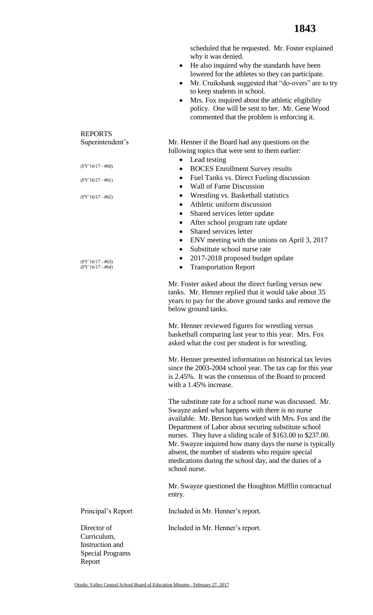scheduled that he requested. Mr. Foster explained

why it was denied.

 He also inquired why the standards have been lowered for the athletes so they can participate. Mr. Cruikshank suggested that "do-overs" are to try to keep students in school. Mrs. Fox inquired about the athletic eligibility policy. One will be sent to her. Mr. Gene Wood commented that the problem is enforcing it. REPORTS Superintendent's (FY'16/17 - #60) (FY'16/17 - #61) (FY'16/17 - #62) (FY'16/17 - #63)  $(FY'16/17 - #64)$ Mr. Henner if the Board had any questions on the following topics that were sent to them earlier: • Lead testing BOCES Enrollment Survey results Fuel Tanks vs. Direct Fueling discussion Wall of Fame Discussion Wrestling vs. Basketball statistics Athletic uniform discussion Shared services letter update After school program rate update Shared services letter ENV meeting with the unions on April 3, 2017 Substitute school nurse rate 2017-2018 proposed budget update • Transportation Report Mr. Foster asked about the direct fueling versus new tanks. Mr. Henner replied that it would take about 35 years to pay for the above ground tanks and remove the below ground tanks. Mr. Henner reviewed figures for wrestling versus basketball comparing last year to this year. Mrs. Fox asked what the cost per student is for wrestling. Mr. Henner presented information on historical tax levies since the 2003-2004 school year. The tax cap for this year is 2.45%. It was the consensus of the Board to proceed with a 1.45% increase. The substitute rate for a school nurse was discussed. Mr. Swayze asked what happens with there is no nurse available. Mr. Berson has worked with Mrs. Fox and the Department of Labor about securing substitute school nurses. They have a sliding scale of \$163.00 to \$237.00. Mr. Swayze inquired how many days the nurse is typically absent, the number of students who require special medications during the school day, and the duties of a school nurse. Mr. Swayze questioned the Houghton Mifflin contractual entry. Principal's Report Included in Mr. Henner's report. Director of Curriculum, Instruction and Special Programs Included in Mr. Henner's report.

Report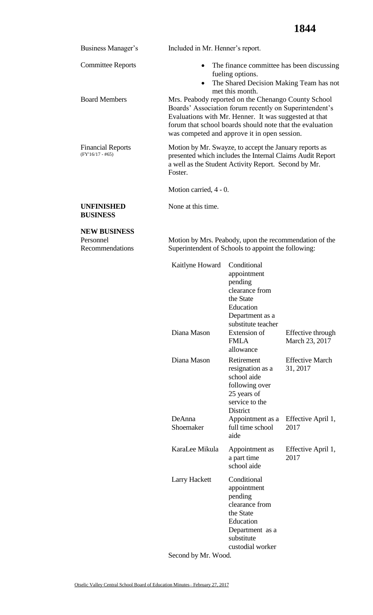| Business Manager's                                  | Included in Mr. Henner's report.                                                                                                                                                                                                                                                   |                                                                                                                             |  |
|-----------------------------------------------------|------------------------------------------------------------------------------------------------------------------------------------------------------------------------------------------------------------------------------------------------------------------------------------|-----------------------------------------------------------------------------------------------------------------------------|--|
| <b>Committee Reports</b>                            | $\bullet$<br>$\bullet$                                                                                                                                                                                                                                                             | The finance committee has been discussing<br>fueling options.<br>The Shared Decision Making Team has not<br>met this month. |  |
| <b>Board Members</b>                                | Mrs. Peabody reported on the Chenango County School<br>Boards' Association forum recently on Superintendent's<br>Evaluations with Mr. Henner. It was suggested at that<br>forum that school boards should note that the evaluation<br>was competed and approve it in open session. |                                                                                                                             |  |
| <b>Financial Reports</b><br>$(FY'16/17 - #65)$      | Motion by Mr. Swayze, to accept the January reports as<br>presented which includes the Internal Claims Audit Report<br>a well as the Student Activity Report. Second by Mr.<br>Foster.<br>Motion carried, 4 - 0.                                                                   |                                                                                                                             |  |
|                                                     |                                                                                                                                                                                                                                                                                    |                                                                                                                             |  |
| <b>UNFINISHED</b><br><b>BUSINESS</b>                | None at this time.                                                                                                                                                                                                                                                                 |                                                                                                                             |  |
| <b>NEW BUSINESS</b><br>Personnel<br>Recommendations | Motion by Mrs. Peabody, upon the recommendation of the<br>Superintendent of Schools to appoint the following:                                                                                                                                                                      |                                                                                                                             |  |
|                                                     | Kaitlyne Howard                                                                                                                                                                                                                                                                    | Conditional<br>appointment<br>pending<br>clearance from<br>the State<br>$\mathbf{r}$ $\mathbf{r}$                           |  |

| Diana Mason           | r r - -<br>pending<br>clearance from<br>the State<br>Education<br>Department as a<br>substitute teacher<br><b>Extension of</b><br><b>FMLA</b> | Effective through<br>March 23, 2017                      |
|-----------------------|-----------------------------------------------------------------------------------------------------------------------------------------------|----------------------------------------------------------|
| Diana Mason<br>DeAnna | allowance<br>Retirement<br>resignation as a<br>school aide<br>following over<br>25 years of<br>service to the<br>District<br>Appointment as a | <b>Effective March</b><br>31, 2017<br>Effective April 1, |
| Shoemaker             | full time school<br>aide                                                                                                                      | 2017                                                     |
| KaraLee Mikula        | Appointment as<br>a part time<br>school aide                                                                                                  | Effective April 1,<br>2017                               |
| Larry Hackett         | Conditional<br>appointment<br>pending<br>clearance from<br>the State<br>Education<br>Department as a<br>substitute<br>custodial worker        |                                                          |
| Second by Mr. Wood.   |                                                                                                                                               |                                                          |

Second by Mr. Wood.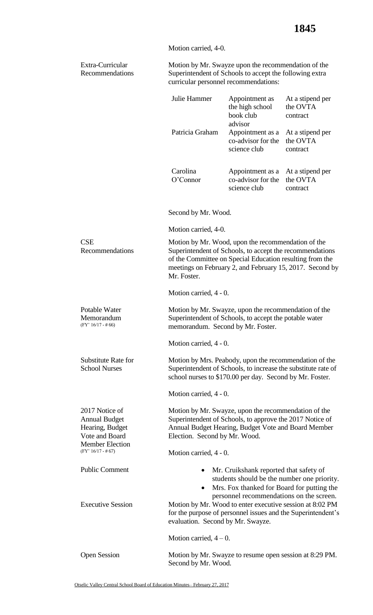Motion carried, 4-0.

| Extra-Curricular<br>Recommendations                                                                   | Motion by Mr. Swayze upon the recommendation of the<br>Superintendent of Schools to accept the following extra<br>curricular personnel recommendations:                                                                                               |                                                                   |                                          |  |  |
|-------------------------------------------------------------------------------------------------------|-------------------------------------------------------------------------------------------------------------------------------------------------------------------------------------------------------------------------------------------------------|-------------------------------------------------------------------|------------------------------------------|--|--|
|                                                                                                       | Julie Hammer                                                                                                                                                                                                                                          | Appointment as<br>the high school<br>book club                    | At a stipend per<br>the OVTA<br>contract |  |  |
|                                                                                                       | Patricia Graham                                                                                                                                                                                                                                       | advisor<br>Appointment as a<br>co-advisor for the<br>science club | At a stipend per<br>the OVTA<br>contract |  |  |
|                                                                                                       | Carolina<br>O'Connor                                                                                                                                                                                                                                  | Appointment as a<br>co-advisor for the<br>science club            | At a stipend per<br>the OVTA<br>contract |  |  |
|                                                                                                       | Second by Mr. Wood.                                                                                                                                                                                                                                   |                                                                   |                                          |  |  |
|                                                                                                       | Motion carried, 4-0.                                                                                                                                                                                                                                  |                                                                   |                                          |  |  |
| <b>CSE</b><br>Recommendations                                                                         | Motion by Mr. Wood, upon the recommendation of the<br>Superintendent of Schools, to accept the recommendations<br>of the Committee on Special Education resulting from the<br>meetings on February 2, and February 15, 2017. Second by<br>Mr. Foster. |                                                                   |                                          |  |  |
|                                                                                                       | Motion carried, 4 - 0.                                                                                                                                                                                                                                |                                                                   |                                          |  |  |
| Potable Water<br>Memorandum<br>$(FY' 16/17 - # 66)$                                                   | Motion by Mr. Swayze, upon the recommendation of the<br>Superintendent of Schools, to accept the potable water<br>memorandum. Second by Mr. Foster.                                                                                                   |                                                                   |                                          |  |  |
|                                                                                                       | Motion carried, 4 - 0.                                                                                                                                                                                                                                |                                                                   |                                          |  |  |
| <b>Substitute Rate for</b><br><b>School Nurses</b>                                                    | Motion by Mrs. Peabody, upon the recommendation of the<br>Superintendent of Schools, to increase the substitute rate of<br>school nurses to \$170.00 per day. Second by Mr. Foster.                                                                   |                                                                   |                                          |  |  |
|                                                                                                       | Motion carried, 4 - 0.                                                                                                                                                                                                                                |                                                                   |                                          |  |  |
| 2017 Notice of<br><b>Annual Budget</b><br>Hearing, Budget<br>Vote and Board<br><b>Member Election</b> | Motion by Mr. Swayze, upon the recommendation of the<br>Superintendent of Schools, to approve the 2017 Notice of<br>Annual Budget Hearing, Budget Vote and Board Member<br>Election. Second by Mr. Wood.                                              |                                                                   |                                          |  |  |
| $(FY' 16/17 - # 67)$                                                                                  | Motion carried, 4 - 0.                                                                                                                                                                                                                                |                                                                   |                                          |  |  |
| <b>Public Comment</b>                                                                                 | Mr. Cruikshank reported that safety of<br>$\bullet$<br>students should be the number one priority.<br>Mrs. Fox thanked for Board for putting the<br>$\bullet$                                                                                         |                                                                   |                                          |  |  |
| <b>Executive Session</b>                                                                              | personnel recommendations on the screen.<br>Motion by Mr. Wood to enter executive session at 8:02 PM<br>for the purpose of personnel issues and the Superintendent's<br>evaluation. Second by Mr. Swayze.                                             |                                                                   |                                          |  |  |
|                                                                                                       | Motion carried, $4-0$ .                                                                                                                                                                                                                               |                                                                   |                                          |  |  |
| <b>Open Session</b>                                                                                   | Motion by Mr. Swayze to resume open session at 8:29 PM.<br>Second by Mr. Wood.                                                                                                                                                                        |                                                                   |                                          |  |  |